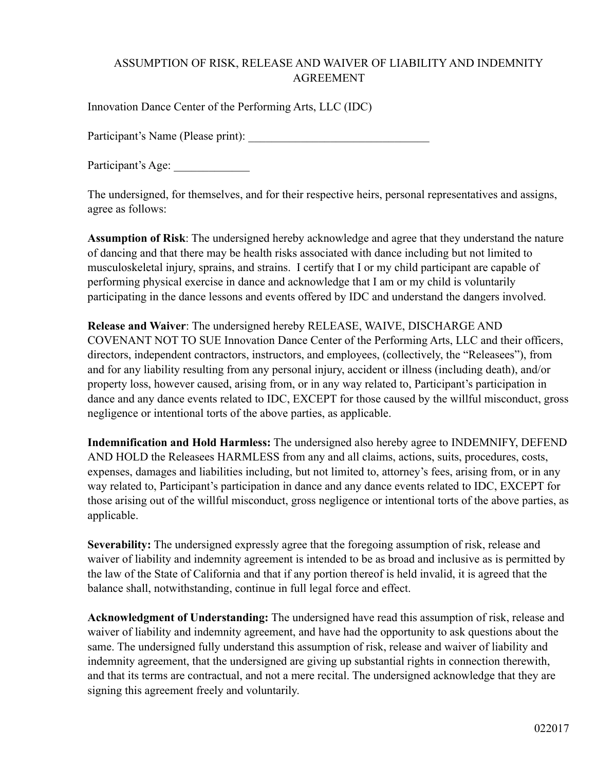## ASSUMPTION OF RISK, RELEASE AND WAIVER OF LIABILITY AND INDEMNITY AGREEMENT

Innovation Dance Center of the Performing Arts, LLC (IDC)

Participant's Name (Please print):

Participant's Age:

The undersigned, for themselves, and for their respective heirs, personal representatives and assigns, agree as follows:

**Assumption of Risk**: The undersigned hereby acknowledge and agree that they understand the nature of dancing and that there may be health risks associated with dance including but not limited to musculoskeletal injury, sprains, and strains. I certify that I or my child participant are capable of performing physical exercise in dance and acknowledge that I am or my child is voluntarily participating in the dance lessons and events offered by IDC and understand the dangers involved.

**Release and Waiver**: The undersigned hereby RELEASE, WAIVE, DISCHARGE AND COVENANT NOT TO SUE Innovation Dance Center of the Performing Arts, LLC and their officers, directors, independent contractors, instructors, and employees, (collectively, the "Releasees"), from and for any liability resulting from any personal injury, accident or illness (including death), and/or property loss, however caused, arising from, or in any way related to, Participant's participation in dance and any dance events related to IDC, EXCEPT for those caused by the willful misconduct, gross negligence or intentional torts of the above parties, as applicable.

**Indemnification and Hold Harmless:** The undersigned also hereby agree to INDEMNIFY, DEFEND AND HOLD the Releasees HARMLESS from any and all claims, actions, suits, procedures, costs, expenses, damages and liabilities including, but not limited to, attorney's fees, arising from, or in any way related to, Participant's participation in dance and any dance events related to IDC, EXCEPT for those arising out of the willful misconduct, gross negligence or intentional torts of the above parties, as applicable.

**Severability:** The undersigned expressly agree that the foregoing assumption of risk, release and waiver of liability and indemnity agreement is intended to be as broad and inclusive as is permitted by the law of the State of California and that if any portion thereof is held invalid, it is agreed that the balance shall, notwithstanding, continue in full legal force and effect.

**Acknowledgment of Understanding:** The undersigned have read this assumption of risk, release and waiver of liability and indemnity agreement, and have had the opportunity to ask questions about the same. The undersigned fully understand this assumption of risk, release and waiver of liability and indemnity agreement, that the undersigned are giving up substantial rights in connection therewith, and that its terms are contractual, and not a mere recital. The undersigned acknowledge that they are signing this agreement freely and voluntarily.